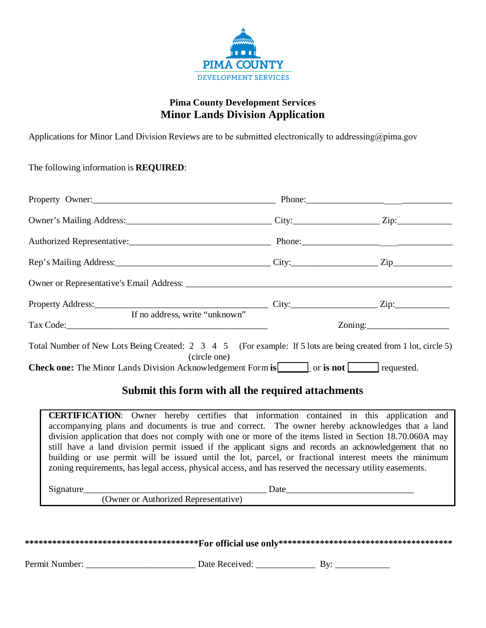

## **Pima County Development Services Minor Lands Division Application**

Applications for Minor Land Division Reviews are to be submitted electronically to addressing@pima.gov

The following information is **REQUIRED**:

| Property Owner: 2000 Phone: Phone: 2000 Phone: 2000 Phone: 2000 Phone: 2000 Phone: 2000 Phone: 2000 Phone: 2000 Phone: 2000 Phone: 2000 Phone: 2000 Phone: 2000 Phone: 2000 Phone: 2000 Phone: 2000 Phone: 2000 Phone: 2000 Ph |  |                       |  |
|--------------------------------------------------------------------------------------------------------------------------------------------------------------------------------------------------------------------------------|--|-----------------------|--|
|                                                                                                                                                                                                                                |  |                       |  |
|                                                                                                                                                                                                                                |  |                       |  |
|                                                                                                                                                                                                                                |  |                       |  |
|                                                                                                                                                                                                                                |  |                       |  |
| If no address, write "unknown"                                                                                                                                                                                                 |  |                       |  |
| Tax Code: Tax Code:                                                                                                                                                                                                            |  | $\sum_{n=1}^{\infty}$ |  |
| Total Number of New Lots Being Created: 2 3 4 5 (For example: If 5 lots are being created from 1 lot, circle 5)<br>(circle one)                                                                                                |  |                       |  |
| <b>Check one:</b> The Minor Lands Division Acknowledgement Form is <b>only only in the Check one:</b> The Minor Lands Division Acknowledgement Form is <b>only in the Check</b> one:                                           |  |                       |  |

## **Submit this form with all the required attachments**

**CERTIFICATION**: Owner hereby certifies that information contained in this application and accompanying plans and documents is true and correct. The owner hereby acknowledges that a land division application that does not comply with one or more of the items listed in Section 18.70.060A may still have a land division permit issued if the applicant signs and records an acknowledgement that no building or use permit will be issued until the lot, parcel, or fractional interest meets the minimum zoning requirements, has legal access, physical access, and has reserved the necessary utility easements.

Signature **Example 2.1 and 2.1** and 2.1 and 2.1 and 2.1 and 2.1 and 2.1 and 2.1 and 2.1 and 2.1 and 2.1 and 2.1 and 2.1 and 2.1 and 2.1 and 2.1 and 2.1 and 2.1 and 2.1 and 2.1 and 2.1 and 2.1 and 2.1 and 2.1 and 2.1 and 2.

(Owner or Authorized Representative)

| Permit Number: | Date Received: |  |  |
|----------------|----------------|--|--|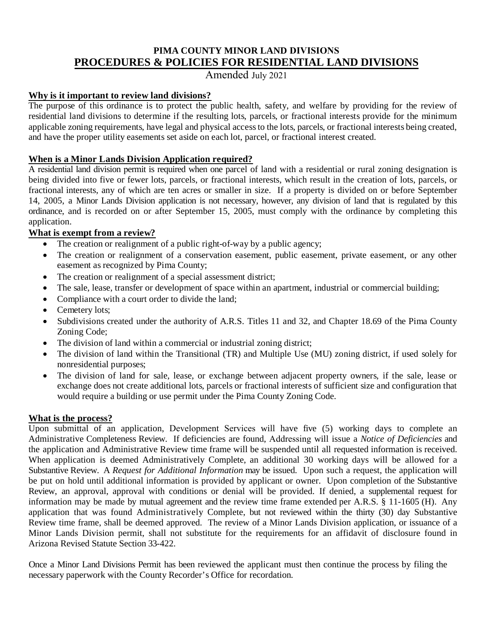## **PIMA COUNTY MINOR LAND DIVISIONS PROCEDURES & POLICIES FOR RESIDENTIAL LAND DIVISIONS**

Amended July 2021

### **Why is it important to review land divisions?**

The purpose of this ordinance is to protect the public health, safety, and welfare by providing for the review of residential land divisions to determine if the resulting lots, parcels, or fractional interests provide for the minimum applicable zoning requirements, have legal and physical access to the lots, parcels, or fractional interests being created, and have the proper utility easements set aside on each lot, parcel, or fractional interest created.

## **When is a Minor Lands Division Application required?**

A residential land division permit is required when one parcel of land with a residential or rural zoning designation is being divided into five or fewer lots, parcels, or fractional interests, which result in the creation of lots, parcels, or fractional interests, any of which are ten acres or smaller in size. If a property is divided on or before September 14, 2005, a Minor Lands Division application is not necessary, however, any division of land that is regulated by this ordinance, and is recorded on or after September 15, 2005, must comply with the ordinance by completing this application.

## **What is exempt from a review?**

- The creation or realignment of a public right-of-way by a public agency;
- The creation or realignment of a conservation easement, public easement, private easement, or any other easement as recognized by Pima County;
- The creation or realignment of a special assessment district;
- The sale, lease, transfer or development of space within an apartment, industrial or commercial building;
- Compliance with a court order to divide the land;
- Cemetery lots;
- Subdivisions created under the authority of A.R.S. Titles 11 and 32, and Chapter 18.69 of the Pima County Zoning Code;
- The division of land within a commercial or industrial zoning district;
- The division of land within the Transitional (TR) and Multiple Use (MU) zoning district, if used solely for nonresidential purposes;
- The division of land for sale, lease, or exchange between adjacent property owners, if the sale, lease or exchange does not create additional lots, parcels or fractional interests of sufficient size and configuration that would require a building or use permit under the Pima County Zoning Code.

### **What is the process?**

Upon submittal of an application, Development Services will have five (5) working days to complete an Administrative Completeness Review. If deficiencies are found, Addressing will issue a *Notice of Deficiencies* and the application and Administrative Review time frame will be suspended until all requested information is received. When application is deemed Administratively Complete, an additional 30 working days will be allowed for a Substantive Review. A *Request for Additional Information* may be issued. Upon such a request, the application will be put on hold until additional information is provided by applicant or owner. Upon completion of the Substantive Review, an approval, approval with conditions or denial will be provided. If denied, a supplemental request for information may be made by mutual agreement and the review time frame extended per A.R.S. § 11-1605 (H). Any application that was found Administratively Complete, but not reviewed within the thirty (30) day Substantive Review time frame, shall be deemed approved. The review of a Minor Lands Division application, or issuance of a Minor Lands Division permit, shall not substitute for the requirements for an affidavit of disclosure found in Arizona Revised Statute Section 33-422.

Once a Minor Land Divisions Permit has been reviewed the applicant must then continue the process by filing the necessary paperwork with the County Recorder's Office for recordation.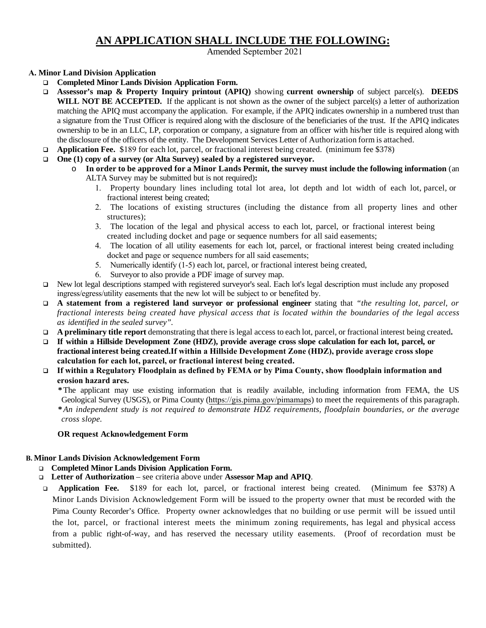# **AN APPLICATION SHALL INCLUDE THE FOLLOWING:**

Amended September 2021

#### **A. Minor Land Division Application**

- **Completed Minor Lands Division Application Form.**
- **Assessor's map & Property Inquiry printout (APIQ)** showing **current ownership** of subject parcel(s). **DEEDS WILL NOT BE ACCEPTED.** If the applicant is not shown as the owner of the subject parcel(s) a letter of authorization matching the APIQ must accompany the application. For example, if the APIQ indicates ownership in a numbered trust than a signature from the Trust Officer is required along with the disclosure of the beneficiaries of the trust. If the APIQ indicates ownership to be in an LLC, LP, corporation or company, a signature from an officer with his/her title is required along with the disclosure of the officers of the entity. The Development Services Letter of Authorization form is attached.
- **Application Fee.** \$189 for each lot, parcel, or fractional interest being created. (minimum fee \$378)
- **One (1) copy of a survey (or Alta Survey) sealed by a registered surveyor.**
	- o **In order to be approved for a Minor Lands Permit, the survey must include the following information** (an ALTA Survey may be submitted but is not required)**:**
		- 1. Property boundary lines including total lot area, lot depth and lot width of each lot, parcel, or fractional interest being created;
		- 2. The locations of existing structures (including the distance from all property lines and other structures);
		- 3. The location of the legal and physical access to each lot, parcel, or fractional interest being created including docket and page or sequence numbers for all said easements;
		- 4. The location of all utility easements for each lot, parcel, or fractional interest being created including docket and page or sequence numbers for all said easements;
		- 5. Numerically identify (1-5) each lot, parcel, or fractional interest being created,
		- 6. Surveyor to also provide a PDF image of survey map.
- New lot legal descriptions stamped with registered surveyor's seal. Each lot's legal description must include any proposed ingress/egress/utility easements that the new lot will be subject to or benefited by.
- **A statement from a registered land surveyor or professional engineer** stating that *"the resulting lot, parcel, or fractional interests being created have physical access that is located within the boundaries of the legal access as identified in the sealed survey".*
- **A preliminary title report** demonstrating that there is legal access to each lot, parcel, or fractional interest being created**.**
- If within a Hillside Development Zone (HDZ), provide average cross slope calculation for each lot, parcel, or **fractional interest being created.If within a Hillside Development Zone (HDZ), provide average cross slope calculation for each lot, parcel, or fractional interest being created.**
- **If within a Regulatory Floodplain as defined by FEMA or by Pima County, show floodplain information and erosion hazard ares.**

**\***The applicant may use existing information that is readily available, including information from FEMA, the US Geological Survey (USGS), or Pima County ([https://gis.pima.gov/pimamaps](http://www.pimaxpress.com/)) to meet the requirements of this paragraph. **\****An independent study is not required to demonstrate HDZ requirements, floodplain boundaries, or the average cross slope.*

#### **OR request Acknowledgement Form**

#### **B. Minor Lands Division Acknowledgement Form**

- **Completed Minor Lands Division Application Form.**
- **Letter of Authorization** see criteria above under **Assessor Map and APIQ**.
- **Application Fee.** \$189 for each lot, parcel, or fractional interest being created. (Minimum fee \$378) A Minor Lands Division Acknowledgement Form will be issued to the property owner that must be recorded with the Pima County Recorder's Office. Property owner acknowledges that no building or use permit will be issued until the lot, parcel, or fractional interest meets the minimum zoning requirements, has legal and physical access from a public right-of-way, and has reserved the necessary utility easements. (Proof of recordation must be submitted).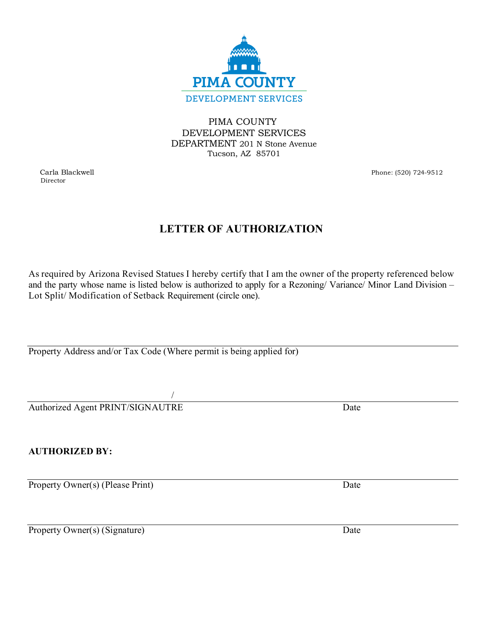

PIMA COUNTY DEVELOPMENT SERVICES DEPARTMENT 201 N Stone Avenue Tucson, AZ 85701

Director

Carla Blackwell Phone: (520) 724-9512

# **LETTER OF AUTHORIZATION**

As required by Arizona Revised Statues I hereby certify that I am the owner of the property referenced below and the party whose name is listed below is authorized to apply for a Rezoning/ Variance/ Minor Land Division – Lot Split/ Modification of Setback Requirement (circle one).

Property Address and/or Tax Code (Where permit is being applied for)

/ Authorized Agent PRINT/SIGNAUTRE Date

**AUTHORIZED BY:**

Property Owner(s) (Please Print) Date

Property Owner(s) (Signature) Date